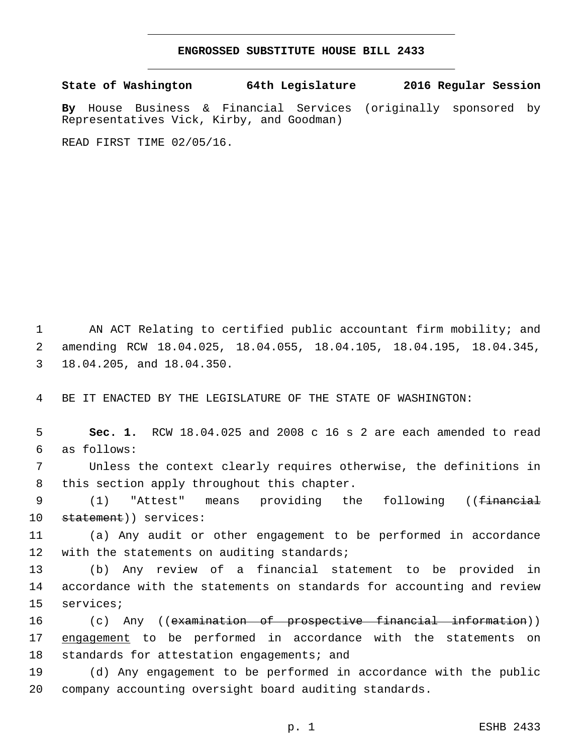## **ENGROSSED SUBSTITUTE HOUSE BILL 2433**

**State of Washington 64th Legislature 2016 Regular Session**

**By** House Business & Financial Services (originally sponsored by Representatives Vick, Kirby, and Goodman)

READ FIRST TIME 02/05/16.

1 AN ACT Relating to certified public accountant firm mobility; and 2 amending RCW 18.04.025, 18.04.055, 18.04.105, 18.04.195, 18.04.345, 3 18.04.205, and 18.04.350.

4 BE IT ENACTED BY THE LEGISLATURE OF THE STATE OF WASHINGTON:

5 **Sec. 1.** RCW 18.04.025 and 2008 c 16 s 2 are each amended to read as follows:6

7 Unless the context clearly requires otherwise, the definitions in 8 this section apply throughout this chapter.

9 (1) "Attest" means providing the following ((<del>financial</del> 10 statement)) services:

11 (a) Any audit or other engagement to be performed in accordance 12 with the statements on auditing standards;

13 (b) Any review of a financial statement to be provided in 14 accordance with the statements on standards for accounting and review 15 services;

16 (c) Any ((examination of prospective financial information)) 17 engagement to be performed in accordance with the statements on 18 standards for attestation engagements; and

19 (d) Any engagement to be performed in accordance with the public 20 company accounting oversight board auditing standards.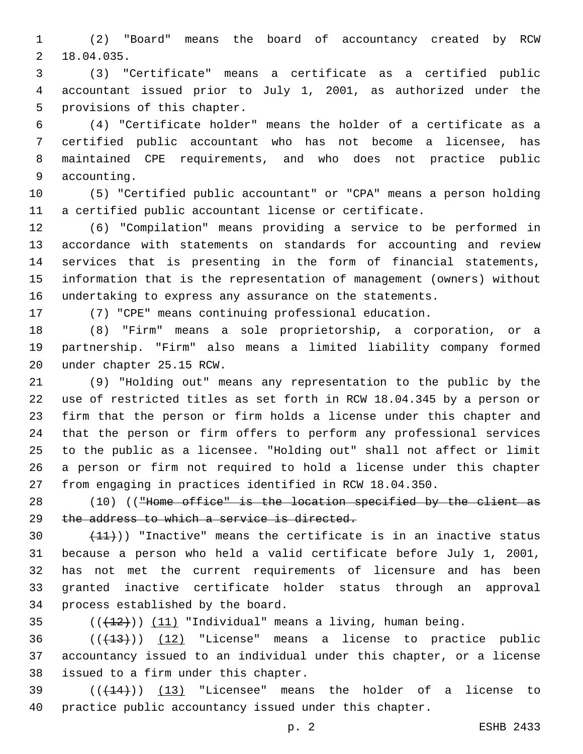(2) "Board" means the board of accountancy created by RCW 18.04.035.2

 (3) "Certificate" means a certificate as a certified public accountant issued prior to July 1, 2001, as authorized under the 5 provisions of this chapter.

 (4) "Certificate holder" means the holder of a certificate as a certified public accountant who has not become a licensee, has maintained CPE requirements, and who does not practice public 9 accounting.

 (5) "Certified public accountant" or "CPA" means a person holding a certified public accountant license or certificate.

 (6) "Compilation" means providing a service to be performed in accordance with statements on standards for accounting and review services that is presenting in the form of financial statements, information that is the representation of management (owners) without undertaking to express any assurance on the statements.

(7) "CPE" means continuing professional education.

 (8) "Firm" means a sole proprietorship, a corporation, or a partnership. "Firm" also means a limited liability company formed 20 under chapter 25.15 RCW.

 (9) "Holding out" means any representation to the public by the use of restricted titles as set forth in RCW 18.04.345 by a person or firm that the person or firm holds a license under this chapter and that the person or firm offers to perform any professional services to the public as a licensee. "Holding out" shall not affect or limit a person or firm not required to hold a license under this chapter from engaging in practices identified in RCW 18.04.350.

28 (10) (("Home office" is the location specified by the client as 29 the address to which a service is directed.

 $(11)$ ) "Inactive" means the certificate is in an inactive status because a person who held a valid certificate before July 1, 2001, has not met the current requirements of licensure and has been granted inactive certificate holder status through an approval 34 process established by the board.

35  $((+12))$   $(11)$  "Individual" means a living, human being.

  $((+13))$   $(12)$  "License" means a license to practice public accountancy issued to an individual under this chapter, or a license 38 issued to a firm under this chapter.

 $(39$  ( $(444)$ )) (13) "Licensee" means the holder of a license to practice public accountancy issued under this chapter.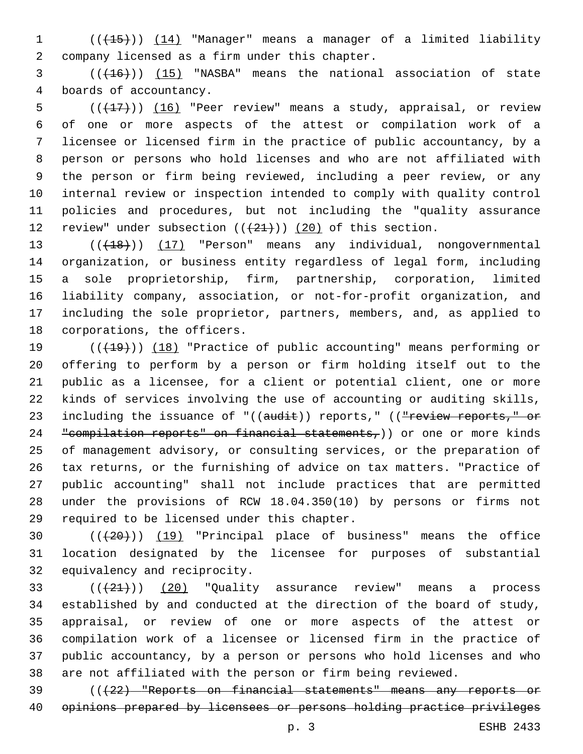(((15))) (14) "Manager" means a manager of a limited liability company licensed as a firm under this chapter.2

3 (( $(16)$ )) (15) "NASBA" means the national association of state 4 boards of accountancy.

 $((+17))$   $(16)$  "Peer review" means a study, appraisal, or review of one or more aspects of the attest or compilation work of a licensee or licensed firm in the practice of public accountancy, by a person or persons who hold licenses and who are not affiliated with the person or firm being reviewed, including a peer review, or any internal review or inspection intended to comply with quality control policies and procedures, but not including the "quality assurance 12 review" under subsection  $((+21+))$   $(20)$  of this section.

13 (( $(18)$ )) (17) "Person" means any individual, nongovernmental organization, or business entity regardless of legal form, including a sole proprietorship, firm, partnership, corporation, limited liability company, association, or not-for-profit organization, and including the sole proprietor, partners, members, and, as applied to 18 corporations, the officers.

19 (( $(19)$ ) (18) "Practice of public accounting" means performing or offering to perform by a person or firm holding itself out to the public as a licensee, for a client or potential client, one or more kinds of services involving the use of accounting or auditing skills, 23 including the issuance of "((audit)) reports," ((<del>"review reports," or</del> 24 "compilation reports" on financial statements,)) or one or more kinds of management advisory, or consulting services, or the preparation of tax returns, or the furnishing of advice on tax matters. "Practice of public accounting" shall not include practices that are permitted under the provisions of RCW 18.04.350(10) by persons or firms not 29 required to be licensed under this chapter.

 (((20))) (19) "Principal place of business" means the office location designated by the licensee for purposes of substantial 32 equivalency and reciprocity.

 $(1+21)$   $(20)$  "Quality assurance review" means a process established by and conducted at the direction of the board of study, appraisal, or review of one or more aspects of the attest or compilation work of a licensee or licensed firm in the practice of public accountancy, by a person or persons who hold licenses and who are not affiliated with the person or firm being reviewed.

 (((22) "Reports on financial statements" means any reports or opinions prepared by licensees or persons holding practice privileges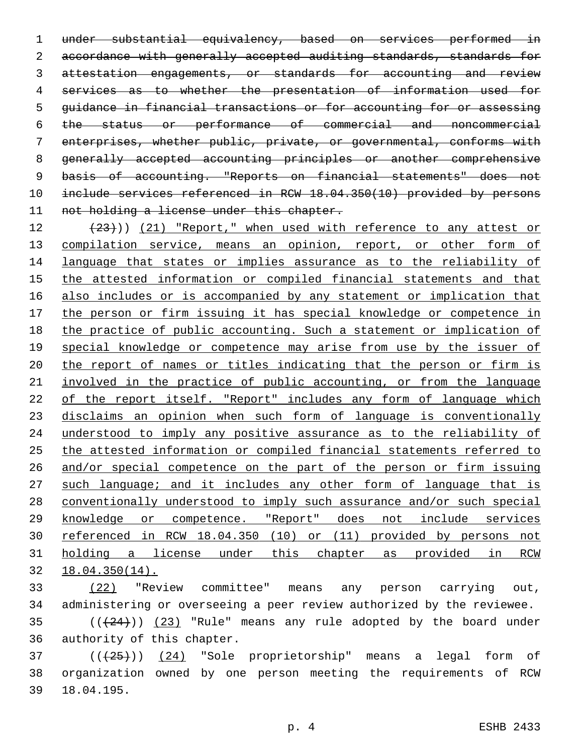under substantial equivalency, based on services performed in 2 accordance with generally accepted auditing standards, standards for 3 attestation engagements, or standards for accounting and review services as to whether the presentation of information used for guidance in financial transactions or for accounting for or assessing the status or performance of commercial and noncommercial enterprises, whether public, private, or governmental, conforms with generally accepted accounting principles or another comprehensive basis of accounting. "Reports on financial statements" does not include services referenced in RCW 18.04.350(10) provided by persons 11 not holding a license under this chapter.

 $(23)$ )) (21) "Report," when used with reference to any attest or 13 compilation service, means an opinion, report, or other form of language that states or implies assurance as to the reliability of the attested information or compiled financial statements and that also includes or is accompanied by any statement or implication that the person or firm issuing it has special knowledge or competence in the practice of public accounting. Such a statement or implication of 19 special knowledge or competence may arise from use by the issuer of the report of names or titles indicating that the person or firm is involved in the practice of public accounting, or from the language 22 of the report itself. "Report" includes any form of language which disclaims an opinion when such form of language is conventionally understood to imply any positive assurance as to the reliability of the attested information or compiled financial statements referred to and/or special competence on the part of the person or firm issuing 27 such language; and it includes any other form of language that is conventionally understood to imply such assurance and/or such special knowledge or competence. "Report" does not include services referenced in RCW 18.04.350 (10) or (11) provided by persons not holding a license under this chapter as provided in RCW 18.04.350(14).

 (22) "Review committee" means any person carrying out, administering or overseeing a peer review authorized by the reviewee.

 ( $(424)$ ))  $(23)$  "Rule" means any rule adopted by the board under 36 authority of this chapter.

37 (( $\left(\frac{24}{125}\right)$ ) (24) "Sole proprietorship" means a legal form of organization owned by one person meeting the requirements of RCW 18.04.195.39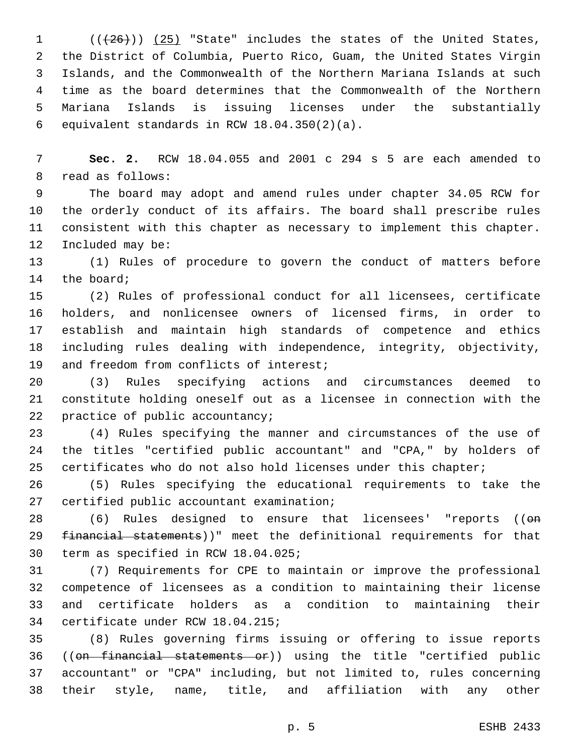$((+26))$  (25) "State" includes the states of the United States, the District of Columbia, Puerto Rico, Guam, the United States Virgin Islands, and the Commonwealth of the Northern Mariana Islands at such time as the board determines that the Commonwealth of the Northern Mariana Islands is issuing licenses under the substantially 6 equivalent standards in RCW  $18.04.350(2)(a)$ .

 **Sec. 2.** RCW 18.04.055 and 2001 c 294 s 5 are each amended to 8 read as follows:

 The board may adopt and amend rules under chapter 34.05 RCW for the orderly conduct of its affairs. The board shall prescribe rules consistent with this chapter as necessary to implement this chapter. 12 Included may be:

 (1) Rules of procedure to govern the conduct of matters before 14 the board;

 (2) Rules of professional conduct for all licensees, certificate holders, and nonlicensee owners of licensed firms, in order to establish and maintain high standards of competence and ethics including rules dealing with independence, integrity, objectivity, 19 and freedom from conflicts of interest;

 (3) Rules specifying actions and circumstances deemed to constitute holding oneself out as a licensee in connection with the 22 practice of public accountancy;

 (4) Rules specifying the manner and circumstances of the use of the titles "certified public accountant" and "CPA," by holders of certificates who do not also hold licenses under this chapter;

 (5) Rules specifying the educational requirements to take the 27 certified public accountant examination;

28 (6) Rules designed to ensure that licensees' "reports (( $\Theta$ m 29 financial statements))" meet the definitional requirements for that 30 term as specified in RCW 18.04.025;

 (7) Requirements for CPE to maintain or improve the professional competence of licensees as a condition to maintaining their license and certificate holders as a condition to maintaining their 34 certificate under RCW 18.04.215;

 (8) Rules governing firms issuing or offering to issue reports ((on financial statements or)) using the title "certified public accountant" or "CPA" including, but not limited to, rules concerning their style, name, title, and affiliation with any other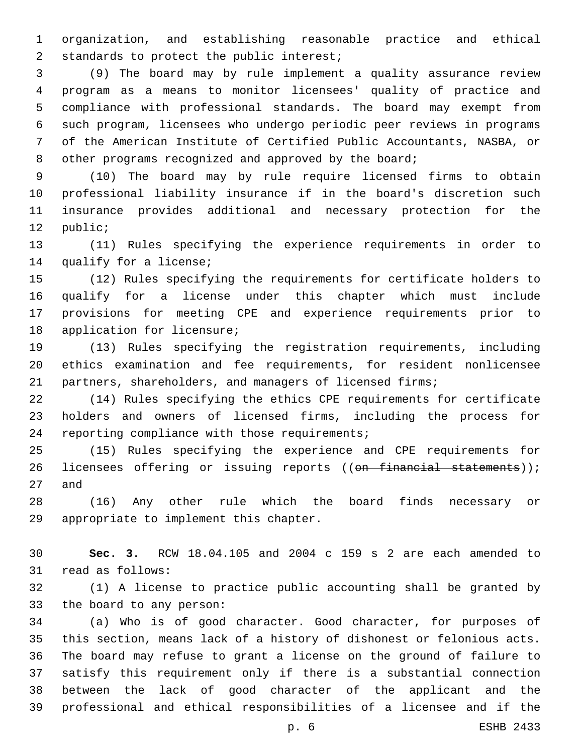organization, and establishing reasonable practice and ethical 2 standards to protect the public interest;

 (9) The board may by rule implement a quality assurance review program as a means to monitor licensees' quality of practice and compliance with professional standards. The board may exempt from such program, licensees who undergo periodic peer reviews in programs of the American Institute of Certified Public Accountants, NASBA, or 8 other programs recognized and approved by the board;

 (10) The board may by rule require licensed firms to obtain professional liability insurance if in the board's discretion such insurance provides additional and necessary protection for the 12 public;

 (11) Rules specifying the experience requirements in order to 14 qualify for a license;

 (12) Rules specifying the requirements for certificate holders to qualify for a license under this chapter which must include provisions for meeting CPE and experience requirements prior to 18 application for licensure;

 (13) Rules specifying the registration requirements, including ethics examination and fee requirements, for resident nonlicensee partners, shareholders, and managers of licensed firms;

 (14) Rules specifying the ethics CPE requirements for certificate holders and owners of licensed firms, including the process for 24 reporting compliance with those requirements;

 (15) Rules specifying the experience and CPE requirements for 26 licensees offering or issuing reports ((on financial statements)); 27 and

 (16) Any other rule which the board finds necessary or 29 appropriate to implement this chapter.

 **Sec. 3.** RCW 18.04.105 and 2004 c 159 s 2 are each amended to 31 read as follows:

 (1) A license to practice public accounting shall be granted by 33 the board to any person:

 (a) Who is of good character. Good character, for purposes of this section, means lack of a history of dishonest or felonious acts. The board may refuse to grant a license on the ground of failure to satisfy this requirement only if there is a substantial connection between the lack of good character of the applicant and the professional and ethical responsibilities of a licensee and if the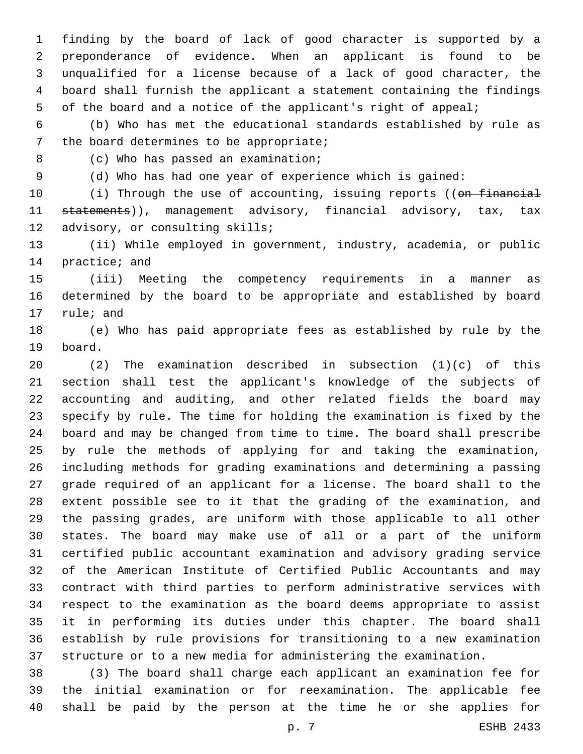finding by the board of lack of good character is supported by a preponderance of evidence. When an applicant is found to be unqualified for a license because of a lack of good character, the board shall furnish the applicant a statement containing the findings of the board and a notice of the applicant's right of appeal;

 (b) Who has met the educational standards established by rule as 7 the board determines to be appropriate;

8 (c) Who has passed an examination;

(d) Who has had one year of experience which is gained:

10 (i) Through the use of accounting, issuing reports ((on financial 11 statements)), management advisory, financial advisory, tax, tax 12 advisory, or consulting skills;

 (ii) While employed in government, industry, academia, or public 14 practice; and

 (iii) Meeting the competency requirements in a manner as determined by the board to be appropriate and established by board 17 rule; and

 (e) Who has paid appropriate fees as established by rule by the 19 board.

 (2) The examination described in subsection (1)(c) of this section shall test the applicant's knowledge of the subjects of accounting and auditing, and other related fields the board may specify by rule. The time for holding the examination is fixed by the board and may be changed from time to time. The board shall prescribe by rule the methods of applying for and taking the examination, including methods for grading examinations and determining a passing grade required of an applicant for a license. The board shall to the extent possible see to it that the grading of the examination, and the passing grades, are uniform with those applicable to all other states. The board may make use of all or a part of the uniform certified public accountant examination and advisory grading service of the American Institute of Certified Public Accountants and may contract with third parties to perform administrative services with respect to the examination as the board deems appropriate to assist it in performing its duties under this chapter. The board shall establish by rule provisions for transitioning to a new examination structure or to a new media for administering the examination.

 (3) The board shall charge each applicant an examination fee for the initial examination or for reexamination. The applicable fee shall be paid by the person at the time he or she applies for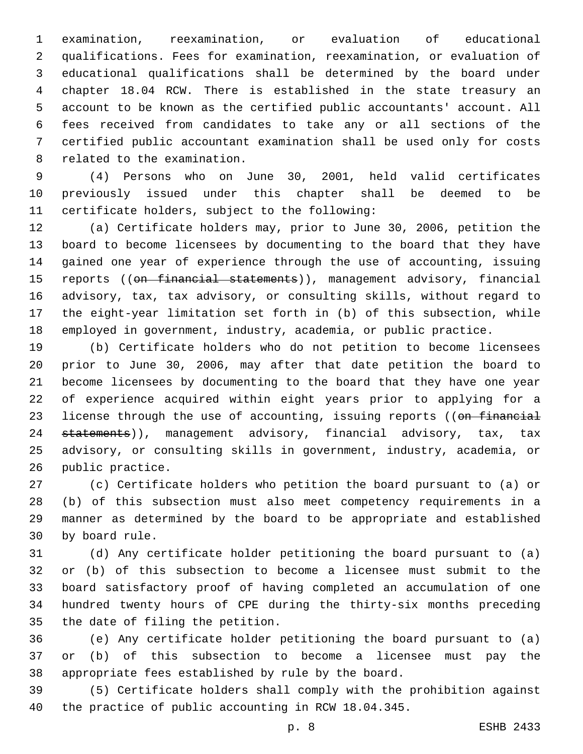examination, reexamination, or evaluation of educational qualifications. Fees for examination, reexamination, or evaluation of educational qualifications shall be determined by the board under chapter 18.04 RCW. There is established in the state treasury an account to be known as the certified public accountants' account. All fees received from candidates to take any or all sections of the certified public accountant examination shall be used only for costs 8 related to the examination.

 (4) Persons who on June 30, 2001, held valid certificates previously issued under this chapter shall be deemed to be 11 certificate holders, subject to the following:

 (a) Certificate holders may, prior to June 30, 2006, petition the board to become licensees by documenting to the board that they have gained one year of experience through the use of accounting, issuing 15 reports ((<del>on financial statements</del>)), management advisory, financial advisory, tax, tax advisory, or consulting skills, without regard to the eight-year limitation set forth in (b) of this subsection, while employed in government, industry, academia, or public practice.

 (b) Certificate holders who do not petition to become licensees prior to June 30, 2006, may after that date petition the board to become licensees by documenting to the board that they have one year of experience acquired within eight years prior to applying for a 23 license through the use of accounting, issuing reports ((on financial 24 statements)), management advisory, financial advisory, tax, tax advisory, or consulting skills in government, industry, academia, or 26 public practice.

 (c) Certificate holders who petition the board pursuant to (a) or (b) of this subsection must also meet competency requirements in a manner as determined by the board to be appropriate and established 30 by board rule.

 (d) Any certificate holder petitioning the board pursuant to (a) or (b) of this subsection to become a licensee must submit to the board satisfactory proof of having completed an accumulation of one hundred twenty hours of CPE during the thirty-six months preceding 35 the date of filing the petition.

 (e) Any certificate holder petitioning the board pursuant to (a) or (b) of this subsection to become a licensee must pay the appropriate fees established by rule by the board.

 (5) Certificate holders shall comply with the prohibition against the practice of public accounting in RCW 18.04.345.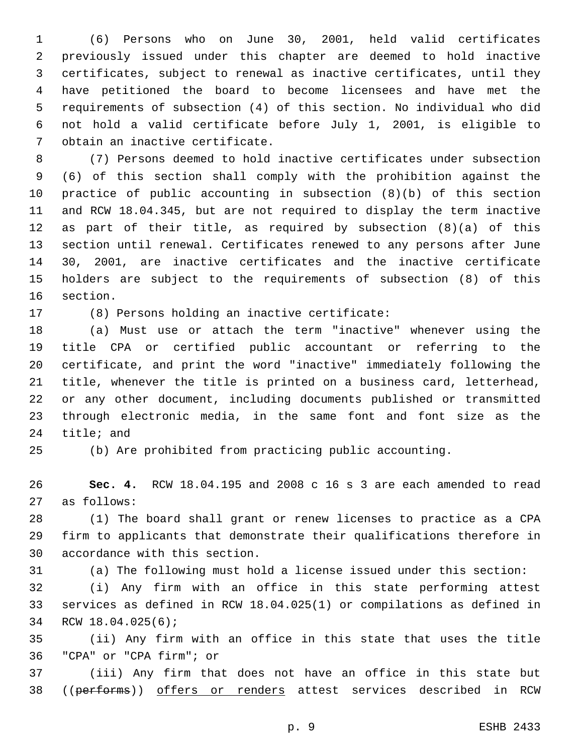(6) Persons who on June 30, 2001, held valid certificates previously issued under this chapter are deemed to hold inactive certificates, subject to renewal as inactive certificates, until they have petitioned the board to become licensees and have met the requirements of subsection (4) of this section. No individual who did not hold a valid certificate before July 1, 2001, is eligible to 7 obtain an inactive certificate.

 (7) Persons deemed to hold inactive certificates under subsection (6) of this section shall comply with the prohibition against the practice of public accounting in subsection (8)(b) of this section and RCW 18.04.345, but are not required to display the term inactive as part of their title, as required by subsection (8)(a) of this section until renewal. Certificates renewed to any persons after June 30, 2001, are inactive certificates and the inactive certificate holders are subject to the requirements of subsection (8) of this 16 section.

17 (8) Persons holding an inactive certificate:

 (a) Must use or attach the term "inactive" whenever using the title CPA or certified public accountant or referring to the certificate, and print the word "inactive" immediately following the title, whenever the title is printed on a business card, letterhead, or any other document, including documents published or transmitted through electronic media, in the same font and font size as the 24 title; and

(b) Are prohibited from practicing public accounting.

 **Sec. 4.** RCW 18.04.195 and 2008 c 16 s 3 are each amended to read as follows:27

 (1) The board shall grant or renew licenses to practice as a CPA firm to applicants that demonstrate their qualifications therefore in 30 accordance with this section.

(a) The following must hold a license issued under this section:

 (i) Any firm with an office in this state performing attest services as defined in RCW 18.04.025(1) or compilations as defined in 34 RCW 18.04.025(6);

 (ii) Any firm with an office in this state that uses the title "CPA" or "CPA firm"; or36

 (iii) Any firm that does not have an office in this state but 38 ((performs)) offers or renders attest services described in RCW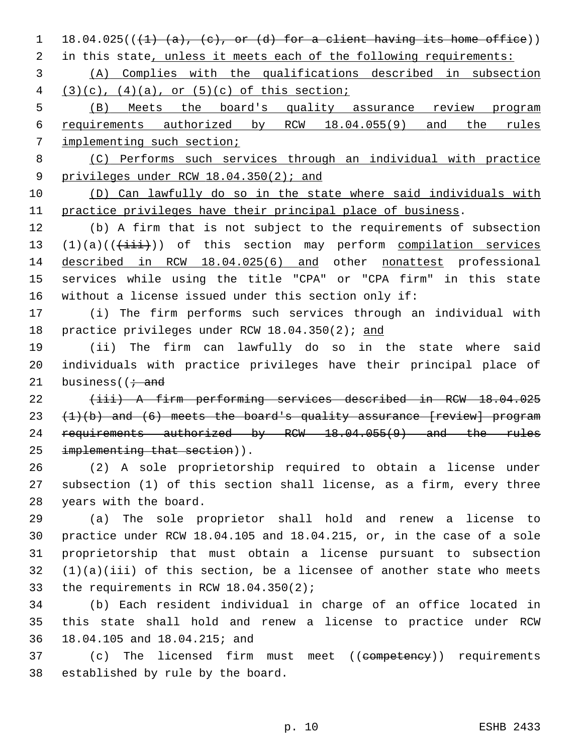1 18.04.025( $(\frac{1}{4} \cdot \frac{a}{a}, \frac{c}{c}, \text{or (d) for a client having its home office})$ )

2 in this state, unless it meets each of the following requirements:

 (A) Complies with the qualifications described in subsection 4  $(3)(c)$ ,  $(4)(a)$ , or  $(5)(c)$  of this section;

 (B) Meets the board's quality assurance review program requirements authorized by RCW 18.04.055(9) and the rules implementing such section;

 (C) Performs such services through an individual with practice 9 privileges under RCW 18.04.350(2); and

 (D) Can lawfully do so in the state where said individuals with practice privileges have their principal place of business.

 (b) A firm that is not subject to the requirements of subsection  $(1)(a)((\overrightarrow{iii}))$  of this section may perform compilation services described in RCW 18.04.025(6) and other nonattest professional services while using the title "CPA" or "CPA firm" in this state without a license issued under this section only if:

 (i) The firm performs such services through an individual with practice privileges under RCW 18.04.350(2); and

 (ii) The firm can lawfully do so in the state where said individuals with practice privileges have their principal place of 21 business  $(i \cdot$  and

 (iii) A firm performing services described in RCW 18.04.025  $(1)(b)$  and  $(6)$  meets the board's quality assurance [review] program 24 requirements authorized by RCW 18.04.055(9) and the rules 25 implementing that section)).

 (2) A sole proprietorship required to obtain a license under subsection (1) of this section shall license, as a firm, every three 28 years with the board.

 (a) The sole proprietor shall hold and renew a license to practice under RCW 18.04.105 and 18.04.215, or, in the case of a sole proprietorship that must obtain a license pursuant to subsection (1)(a)(iii) of this section, be a licensee of another state who meets 33 the requirements in RCW  $18.04.350(2)$ ;

 (b) Each resident individual in charge of an office located in this state shall hold and renew a license to practice under RCW 18.04.105 and 18.04.215; and36

37 (c) The licensed firm must meet ((competency)) requirements 38 established by rule by the board.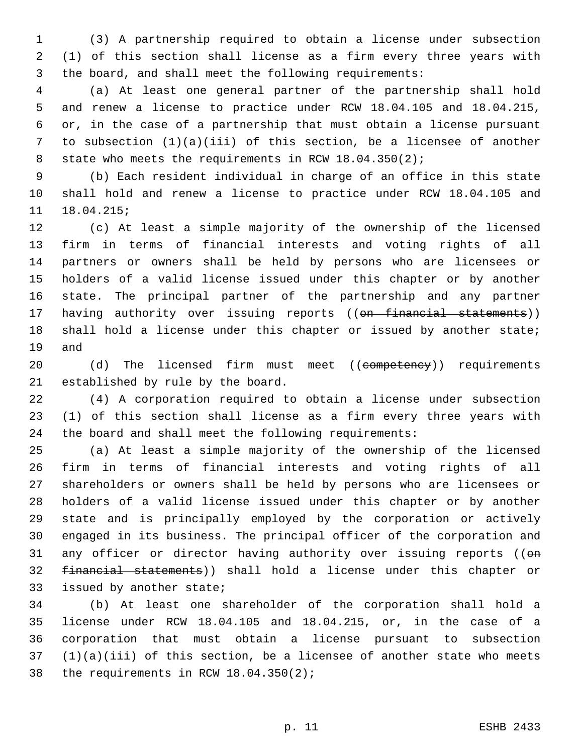(3) A partnership required to obtain a license under subsection (1) of this section shall license as a firm every three years with the board, and shall meet the following requirements:

 (a) At least one general partner of the partnership shall hold and renew a license to practice under RCW 18.04.105 and 18.04.215, or, in the case of a partnership that must obtain a license pursuant to subsection (1)(a)(iii) of this section, be a licensee of another 8 state who meets the requirements in RCW 18.04.350(2);

 (b) Each resident individual in charge of an office in this state shall hold and renew a license to practice under RCW 18.04.105 and 18.04.215;

 (c) At least a simple majority of the ownership of the licensed firm in terms of financial interests and voting rights of all partners or owners shall be held by persons who are licensees or holders of a valid license issued under this chapter or by another state. The principal partner of the partnership and any partner 17 having authority over issuing reports ((on financial statements)) shall hold a license under this chapter or issued by another state; 19 and

20 (d) The licensed firm must meet ((competency)) requirements 21 established by rule by the board.

 (4) A corporation required to obtain a license under subsection (1) of this section shall license as a firm every three years with the board and shall meet the following requirements:

 (a) At least a simple majority of the ownership of the licensed firm in terms of financial interests and voting rights of all shareholders or owners shall be held by persons who are licensees or holders of a valid license issued under this chapter or by another state and is principally employed by the corporation or actively engaged in its business. The principal officer of the corporation and 31 any officer or director having authority over issuing reports (( $\Theta$ n financial statements)) shall hold a license under this chapter or 33 issued by another state;

 (b) At least one shareholder of the corporation shall hold a license under RCW 18.04.105 and 18.04.215, or, in the case of a corporation that must obtain a license pursuant to subsection (1)(a)(iii) of this section, be a licensee of another state who meets 38 the requirements in RCW  $18.04.350(2)$ ;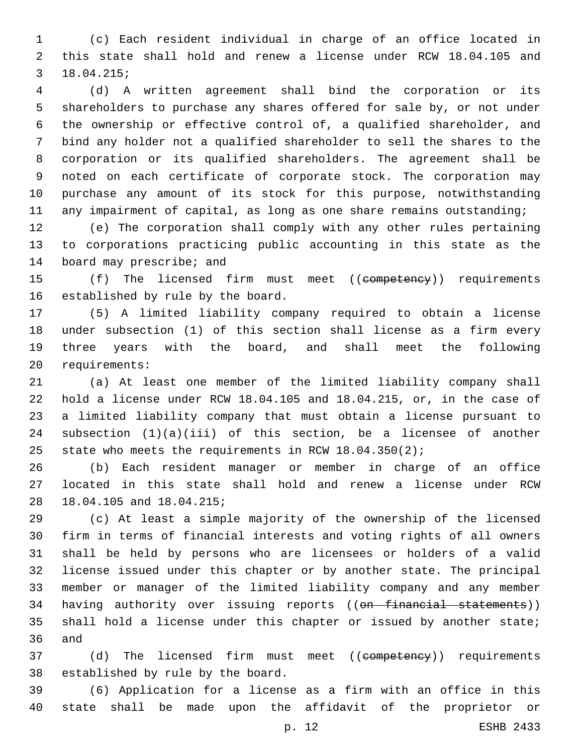(c) Each resident individual in charge of an office located in this state shall hold and renew a license under RCW 18.04.105 and 18.04.215;3

 (d) A written agreement shall bind the corporation or its shareholders to purchase any shares offered for sale by, or not under the ownership or effective control of, a qualified shareholder, and bind any holder not a qualified shareholder to sell the shares to the corporation or its qualified shareholders. The agreement shall be noted on each certificate of corporate stock. The corporation may purchase any amount of its stock for this purpose, notwithstanding any impairment of capital, as long as one share remains outstanding;

 (e) The corporation shall comply with any other rules pertaining to corporations practicing public accounting in this state as the 14 board may prescribe; and

15 (f) The licensed firm must meet ((competency)) requirements 16 established by rule by the board.

 (5) A limited liability company required to obtain a license under subsection (1) of this section shall license as a firm every three years with the board, and shall meet the following 20 requirements:

 (a) At least one member of the limited liability company shall hold a license under RCW 18.04.105 and 18.04.215, or, in the case of a limited liability company that must obtain a license pursuant to subsection (1)(a)(iii) of this section, be a licensee of another state who meets the requirements in RCW 18.04.350(2);

 (b) Each resident manager or member in charge of an office located in this state shall hold and renew a license under RCW 28 18.04.105 and 18.04.215;

 (c) At least a simple majority of the ownership of the licensed firm in terms of financial interests and voting rights of all owners shall be held by persons who are licensees or holders of a valid license issued under this chapter or by another state. The principal member or manager of the limited liability company and any member 34 having authority over issuing reports ((on financial statements)) shall hold a license under this chapter or issued by another state; 36 and

37 (d) The licensed firm must meet ((competency)) requirements 38 established by rule by the board.

 (6) Application for a license as a firm with an office in this state shall be made upon the affidavit of the proprietor or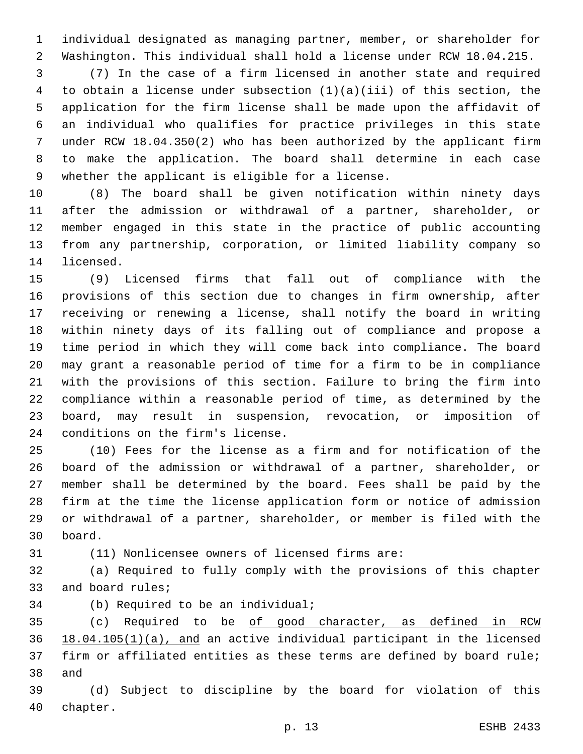individual designated as managing partner, member, or shareholder for Washington. This individual shall hold a license under RCW 18.04.215.

 (7) In the case of a firm licensed in another state and required to obtain a license under subsection (1)(a)(iii) of this section, the application for the firm license shall be made upon the affidavit of an individual who qualifies for practice privileges in this state under RCW 18.04.350(2) who has been authorized by the applicant firm to make the application. The board shall determine in each case 9 whether the applicant is eligible for a license.

 (8) The board shall be given notification within ninety days after the admission or withdrawal of a partner, shareholder, or member engaged in this state in the practice of public accounting from any partnership, corporation, or limited liability company so 14 licensed.

 (9) Licensed firms that fall out of compliance with the provisions of this section due to changes in firm ownership, after receiving or renewing a license, shall notify the board in writing within ninety days of its falling out of compliance and propose a time period in which they will come back into compliance. The board may grant a reasonable period of time for a firm to be in compliance with the provisions of this section. Failure to bring the firm into compliance within a reasonable period of time, as determined by the board, may result in suspension, revocation, or imposition of 24 conditions on the firm's license.

 (10) Fees for the license as a firm and for notification of the board of the admission or withdrawal of a partner, shareholder, or member shall be determined by the board. Fees shall be paid by the firm at the time the license application form or notice of admission or withdrawal of a partner, shareholder, or member is filed with the board.30

(11) Nonlicensee owners of licensed firms are:

 (a) Required to fully comply with the provisions of this chapter 33 and board rules;

34 (b) Required to be an individual;

35 (c) Required to be of good character, as defined in RCW 18.04.105(1)(a), and an active individual participant in the licensed firm or affiliated entities as these terms are defined by board rule; 38 and

 (d) Subject to discipline by the board for violation of this 40 chapter.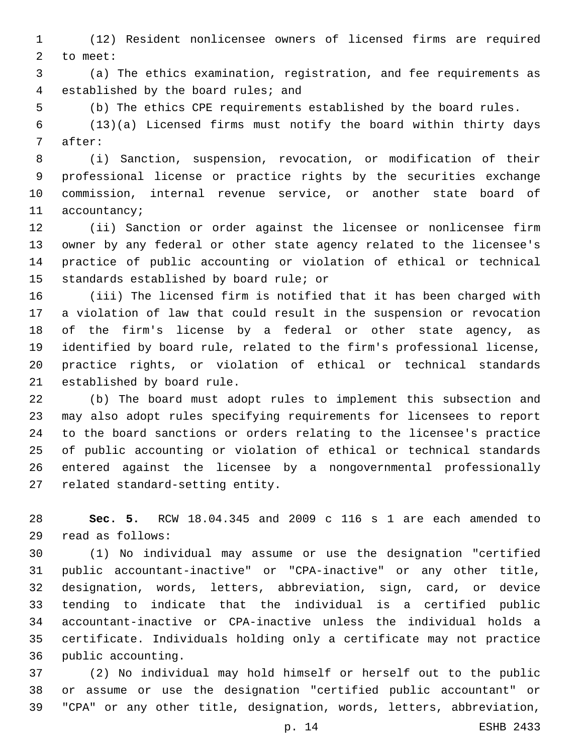(12) Resident nonlicensee owners of licensed firms are required 2 to meet:

 (a) The ethics examination, registration, and fee requirements as 4 established by the board rules; and

(b) The ethics CPE requirements established by the board rules.

 (13)(a) Licensed firms must notify the board within thirty days 7 after:

 (i) Sanction, suspension, revocation, or modification of their professional license or practice rights by the securities exchange commission, internal revenue service, or another state board of 11 accountancy;

 (ii) Sanction or order against the licensee or nonlicensee firm owner by any federal or other state agency related to the licensee's practice of public accounting or violation of ethical or technical 15 standards established by board rule; or

 (iii) The licensed firm is notified that it has been charged with a violation of law that could result in the suspension or revocation of the firm's license by a federal or other state agency, as identified by board rule, related to the firm's professional license, practice rights, or violation of ethical or technical standards 21 established by board rule.

 (b) The board must adopt rules to implement this subsection and may also adopt rules specifying requirements for licensees to report to the board sanctions or orders relating to the licensee's practice of public accounting or violation of ethical or technical standards entered against the licensee by a nongovernmental professionally 27 related standard-setting entity.

 **Sec. 5.** RCW 18.04.345 and 2009 c 116 s 1 are each amended to read as follows:29

 (1) No individual may assume or use the designation "certified public accountant-inactive" or "CPA-inactive" or any other title, designation, words, letters, abbreviation, sign, card, or device tending to indicate that the individual is a certified public accountant-inactive or CPA-inactive unless the individual holds a certificate. Individuals holding only a certificate may not practice 36 public accounting.

 (2) No individual may hold himself or herself out to the public or assume or use the designation "certified public accountant" or "CPA" or any other title, designation, words, letters, abbreviation,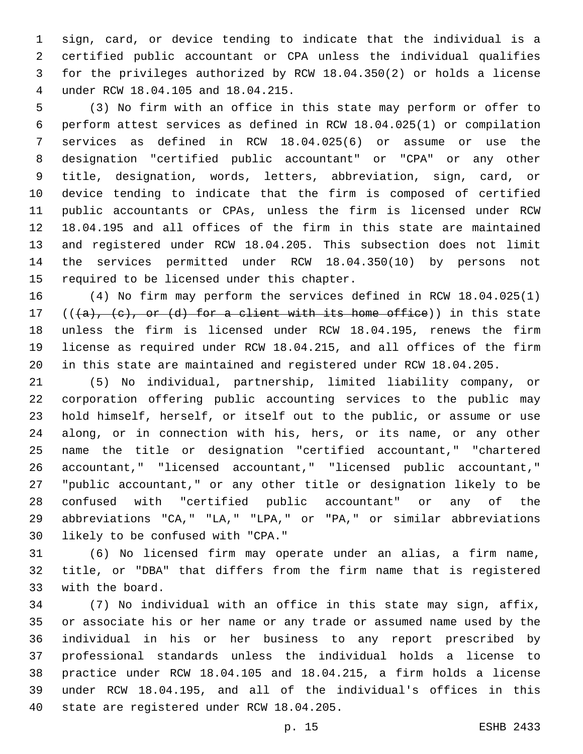sign, card, or device tending to indicate that the individual is a certified public accountant or CPA unless the individual qualifies for the privileges authorized by RCW 18.04.350(2) or holds a license under RCW 18.04.105 and 18.04.215.4

 (3) No firm with an office in this state may perform or offer to perform attest services as defined in RCW 18.04.025(1) or compilation services as defined in RCW 18.04.025(6) or assume or use the designation "certified public accountant" or "CPA" or any other title, designation, words, letters, abbreviation, sign, card, or device tending to indicate that the firm is composed of certified public accountants or CPAs, unless the firm is licensed under RCW 18.04.195 and all offices of the firm in this state are maintained and registered under RCW 18.04.205. This subsection does not limit the services permitted under RCW 18.04.350(10) by persons not 15 required to be licensed under this chapter.

 (4) No firm may perform the services defined in RCW 18.04.025(1) 17 ( $(\overline{\{a\}}, \overline{\{c\}}, \overline{\text{or } (d)}$  for a client with its home office)) in this state unless the firm is licensed under RCW 18.04.195, renews the firm license as required under RCW 18.04.215, and all offices of the firm in this state are maintained and registered under RCW 18.04.205.

 (5) No individual, partnership, limited liability company, or corporation offering public accounting services to the public may hold himself, herself, or itself out to the public, or assume or use along, or in connection with his, hers, or its name, or any other name the title or designation "certified accountant," "chartered accountant," "licensed accountant," "licensed public accountant," "public accountant," or any other title or designation likely to be confused with "certified public accountant" or any of the abbreviations "CA," "LA," "LPA," or "PA," or similar abbreviations 30 likely to be confused with "CPA."

 (6) No licensed firm may operate under an alias, a firm name, title, or "DBA" that differs from the firm name that is registered 33 with the board.

 (7) No individual with an office in this state may sign, affix, or associate his or her name or any trade or assumed name used by the individual in his or her business to any report prescribed by professional standards unless the individual holds a license to practice under RCW 18.04.105 and 18.04.215, a firm holds a license under RCW 18.04.195, and all of the individual's offices in this 40 state are registered under RCW 18.04.205.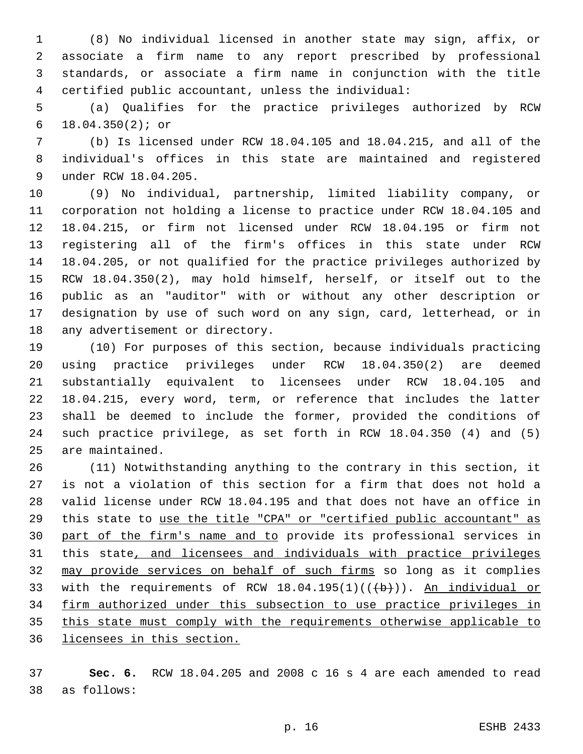(8) No individual licensed in another state may sign, affix, or associate a firm name to any report prescribed by professional standards, or associate a firm name in conjunction with the title certified public accountant, unless the individual:

 (a) Qualifies for the practice privileges authorized by RCW 18.04.350(2); or6

 (b) Is licensed under RCW 18.04.105 and 18.04.215, and all of the individual's offices in this state are maintained and registered 9 under RCW 18.04.205.

 (9) No individual, partnership, limited liability company, or corporation not holding a license to practice under RCW 18.04.105 and 18.04.215, or firm not licensed under RCW 18.04.195 or firm not registering all of the firm's offices in this state under RCW 18.04.205, or not qualified for the practice privileges authorized by RCW 18.04.350(2), may hold himself, herself, or itself out to the public as an "auditor" with or without any other description or designation by use of such word on any sign, card, letterhead, or in 18 any advertisement or directory.

 (10) For purposes of this section, because individuals practicing using practice privileges under RCW 18.04.350(2) are deemed substantially equivalent to licensees under RCW 18.04.105 and 18.04.215, every word, term, or reference that includes the latter shall be deemed to include the former, provided the conditions of such practice privilege, as set forth in RCW 18.04.350 (4) and (5) 25 are maintained.

 (11) Notwithstanding anything to the contrary in this section, it is not a violation of this section for a firm that does not hold a valid license under RCW 18.04.195 and that does not have an office in this state to use the title "CPA" or "certified public accountant" as part of the firm's name and to provide its professional services in this state, and licensees and individuals with practice privileges may provide services on behalf of such firms so long as it complies 33 with the requirements of RCW  $18.04.195(1)((\{ \})$ . An individual or firm authorized under this subsection to use practice privileges in this state must comply with the requirements otherwise applicable to licensees in this section.

 **Sec. 6.** RCW 18.04.205 and 2008 c 16 s 4 are each amended to read as follows:38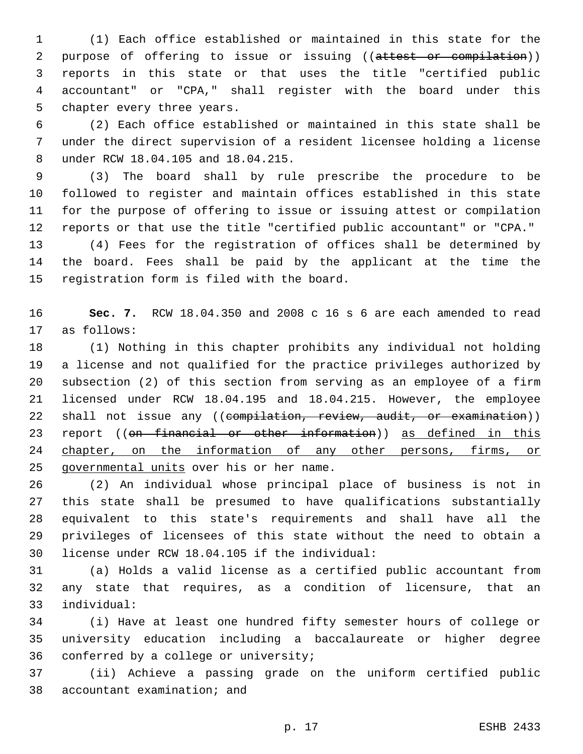(1) Each office established or maintained in this state for the 2 purpose of offering to issue or issuing ((attest or compilation)) reports in this state or that uses the title "certified public accountant" or "CPA," shall register with the board under this 5 chapter every three years.

 (2) Each office established or maintained in this state shall be under the direct supervision of a resident licensee holding a license under RCW 18.04.105 and 18.04.215.8

 (3) The board shall by rule prescribe the procedure to be followed to register and maintain offices established in this state for the purpose of offering to issue or issuing attest or compilation reports or that use the title "certified public accountant" or "CPA."

 (4) Fees for the registration of offices shall be determined by the board. Fees shall be paid by the applicant at the time the 15 registration form is filed with the board.

 **Sec. 7.** RCW 18.04.350 and 2008 c 16 s 6 are each amended to read 17 as follows:

 (1) Nothing in this chapter prohibits any individual not holding a license and not qualified for the practice privileges authorized by subsection (2) of this section from serving as an employee of a firm licensed under RCW 18.04.195 and 18.04.215. However, the employee 22 shall not issue any ((compilation, review, audit, or examination)) 23 report ((on financial or other information)) as defined in this 24 chapter, on the information of any other persons, firms, or 25 governmental units over his or her name.

 (2) An individual whose principal place of business is not in this state shall be presumed to have qualifications substantially equivalent to this state's requirements and shall have all the privileges of licensees of this state without the need to obtain a license under RCW 18.04.105 if the individual:30

 (a) Holds a valid license as a certified public accountant from any state that requires, as a condition of licensure, that an individual:33

 (i) Have at least one hundred fifty semester hours of college or university education including a baccalaureate or higher degree 36 conferred by a college or university;

 (ii) Achieve a passing grade on the uniform certified public 38 accountant examination; and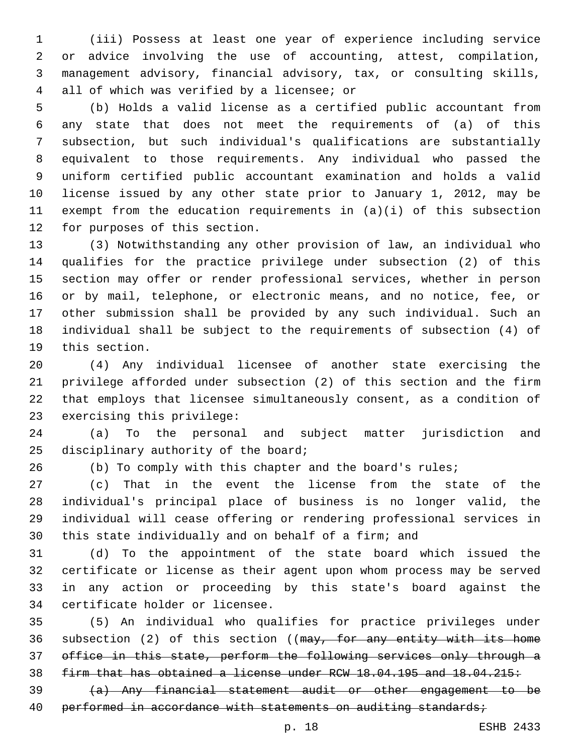(iii) Possess at least one year of experience including service or advice involving the use of accounting, attest, compilation, management advisory, financial advisory, tax, or consulting skills, all of which was verified by a licensee; or4

 (b) Holds a valid license as a certified public accountant from any state that does not meet the requirements of (a) of this subsection, but such individual's qualifications are substantially equivalent to those requirements. Any individual who passed the uniform certified public accountant examination and holds a valid license issued by any other state prior to January 1, 2012, may be exempt from the education requirements in (a)(i) of this subsection 12 for purposes of this section.

 (3) Notwithstanding any other provision of law, an individual who qualifies for the practice privilege under subsection (2) of this section may offer or render professional services, whether in person or by mail, telephone, or electronic means, and no notice, fee, or other submission shall be provided by any such individual. Such an individual shall be subject to the requirements of subsection (4) of 19 this section.

 (4) Any individual licensee of another state exercising the privilege afforded under subsection (2) of this section and the firm that employs that licensee simultaneously consent, as a condition of 23 exercising this privilege:

 (a) To the personal and subject matter jurisdiction and 25 disciplinary authority of the board;

(b) To comply with this chapter and the board's rules;

 (c) That in the event the license from the state of the individual's principal place of business is no longer valid, the individual will cease offering or rendering professional services in this state individually and on behalf of a firm; and

 (d) To the appointment of the state board which issued the certificate or license as their agent upon whom process may be served in any action or proceeding by this state's board against the 34 certificate holder or licensee.

 (5) An individual who qualifies for practice privileges under 36 subsection (2) of this section ((may, for any entity with its home office in this state, perform the following services only through a firm that has obtained a license under RCW 18.04.195 and 18.04.215:

 (a) Any financial statement audit or other engagement to be 40 performed in accordance with statements on auditing standards;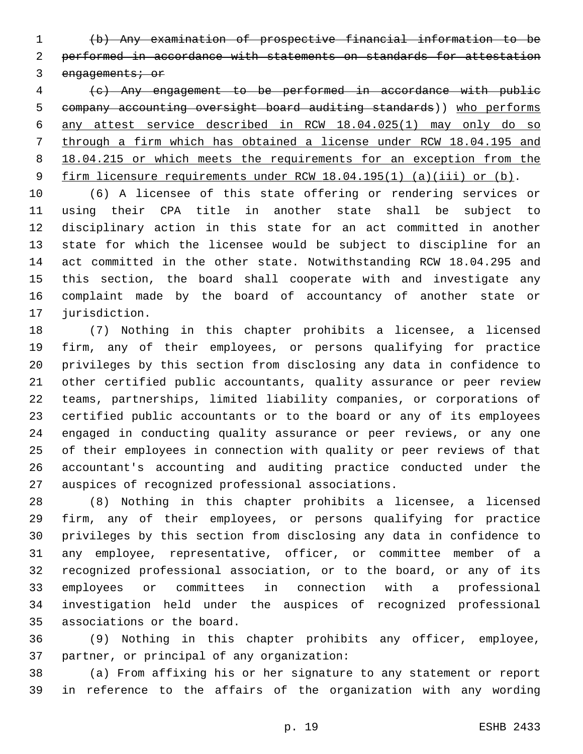(b) Any examination of prospective financial information to be performed in accordance with statements on standards for attestation 3 engagements; or

 (c) Any engagement to be performed in accordance with public company accounting oversight board auditing standards)) who performs any attest service described in RCW 18.04.025(1) may only do so through a firm which has obtained a license under RCW 18.04.195 and 8 18.04.215 or which meets the requirements for an exception from the firm licensure requirements under RCW 18.04.195(1) (a)(iii) or (b).

 (6) A licensee of this state offering or rendering services or using their CPA title in another state shall be subject to disciplinary action in this state for an act committed in another state for which the licensee would be subject to discipline for an act committed in the other state. Notwithstanding RCW 18.04.295 and this section, the board shall cooperate with and investigate any complaint made by the board of accountancy of another state or 17 jurisdiction.

 (7) Nothing in this chapter prohibits a licensee, a licensed firm, any of their employees, or persons qualifying for practice privileges by this section from disclosing any data in confidence to other certified public accountants, quality assurance or peer review teams, partnerships, limited liability companies, or corporations of certified public accountants or to the board or any of its employees engaged in conducting quality assurance or peer reviews, or any one of their employees in connection with quality or peer reviews of that accountant's accounting and auditing practice conducted under the 27 auspices of recognized professional associations.

 (8) Nothing in this chapter prohibits a licensee, a licensed firm, any of their employees, or persons qualifying for practice privileges by this section from disclosing any data in confidence to any employee, representative, officer, or committee member of a recognized professional association, or to the board, or any of its employees or committees in connection with a professional investigation held under the auspices of recognized professional 35 associations or the board.

 (9) Nothing in this chapter prohibits any officer, employee, 37 partner, or principal of any organization:

 (a) From affixing his or her signature to any statement or report in reference to the affairs of the organization with any wording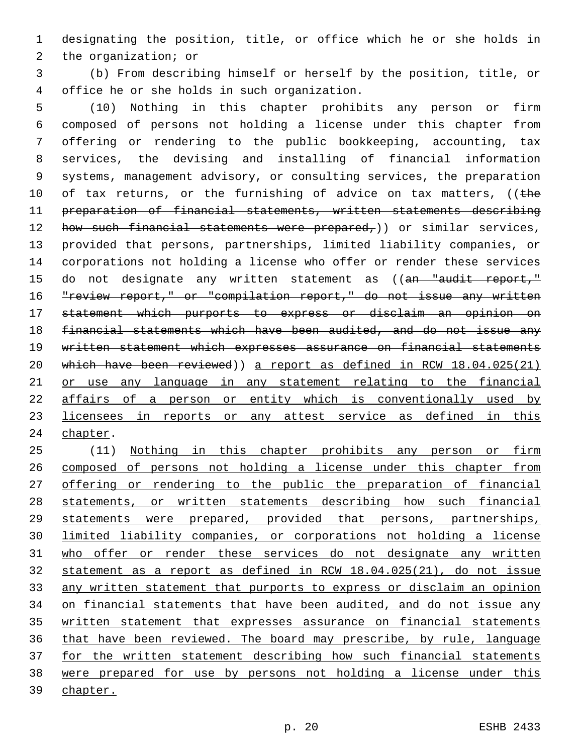designating the position, title, or office which he or she holds in 2 the organization; or

 (b) From describing himself or herself by the position, title, or office he or she holds in such organization.4

 (10) Nothing in this chapter prohibits any person or firm composed of persons not holding a license under this chapter from offering or rendering to the public bookkeeping, accounting, tax services, the devising and installing of financial information systems, management advisory, or consulting services, the preparation 10 of tax returns, or the furnishing of advice on tax matters, ((the preparation of financial statements, written statements describing 12 how such financial statements were prepared,)) or similar services, provided that persons, partnerships, limited liability companies, or corporations not holding a license who offer or render these services 15 do not designate any written statement as ((an "audit report," 16 "review report," or "compilation report," do not issue any written statement which purports to express or disclaim an opinion on financial statements which have been audited, and do not issue any written statement which expresses assurance on financial statements which have been reviewed)) a report as defined in RCW 18.04.025(21) or use any language in any statement relating to the financial affairs of a person or entity which is conventionally used by licensees in reports or any attest service as defined in this 24 chapter.

 (11) Nothing in this chapter prohibits any person or firm composed of persons not holding a license under this chapter from 27 offering or rendering to the public the preparation of financial statements, or written statements describing how such financial statements were prepared, provided that persons, partnerships, limited liability companies, or corporations not holding a license who offer or render these services do not designate any written statement as a report as defined in RCW 18.04.025(21), do not issue any written statement that purports to express or disclaim an opinion on financial statements that have been audited, and do not issue any written statement that expresses assurance on financial statements that have been reviewed. The board may prescribe, by rule, language for the written statement describing how such financial statements were prepared for use by persons not holding a license under this 39 chapter.